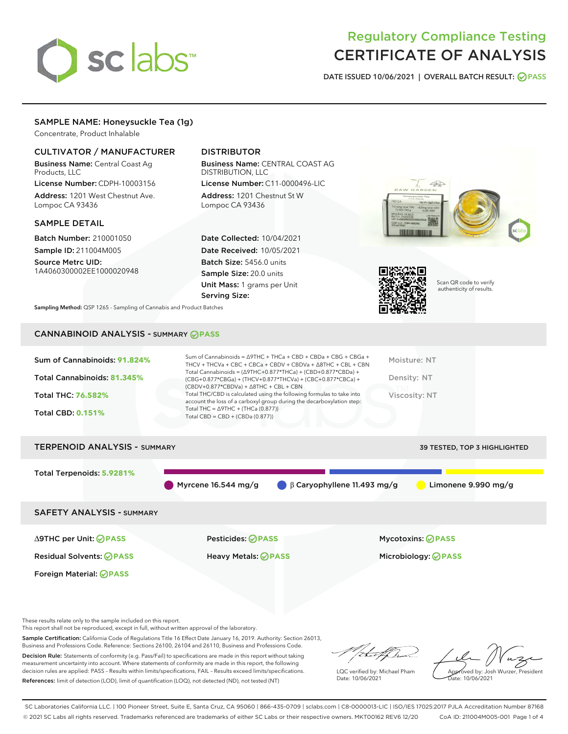# sclabs<sup>\*</sup>

## Regulatory Compliance Testing CERTIFICATE OF ANALYSIS

DATE ISSUED 10/06/2021 | OVERALL BATCH RESULT: @ PASS

#### SAMPLE NAME: Honeysuckle Tea (1g)

Concentrate, Product Inhalable

#### CULTIVATOR / MANUFACTURER

Business Name: Central Coast Ag Products, LLC

License Number: CDPH-10003156 Address: 1201 West Chestnut Ave. Lompoc CA 93436

#### SAMPLE DETAIL

Batch Number: 210001050 Sample ID: 211004M005

Source Metrc UID: 1A4060300002EE1000020948

#### DISTRIBUTOR

Business Name: CENTRAL COAST AG DISTRIBUTION, LLC License Number: C11-0000496-LIC

Address: 1201 Chestnut St W Lompoc CA 93436

Date Collected: 10/04/2021 Date Received: 10/05/2021 Batch Size: 5456.0 units Sample Size: 20.0 units Unit Mass: 1 grams per Unit Serving Size:





Scan QR code to verify authenticity of results.

Sampling Method: QSP 1265 - Sampling of Cannabis and Product Batches

### CANNABINOID ANALYSIS - SUMMARY **PASS**



Myrcene 16.544 mg/g β Caryophyllene 11.493 mg/g Limonene 9.990 mg/g

SAFETY ANALYSIS - SUMMARY

∆9THC per Unit: **PASS** Pesticides: **PASS** Mycotoxins: **PASS**

Foreign Material: **PASS**

Residual Solvents: **PASS** Heavy Metals: **PASS** Microbiology: **PASS**

These results relate only to the sample included on this report.

This report shall not be reproduced, except in full, without written approval of the laboratory.

Sample Certification: California Code of Regulations Title 16 Effect Date January 16, 2019. Authority: Section 26013, Business and Professions Code. Reference: Sections 26100, 26104 and 26110, Business and Professions Code.

Decision Rule: Statements of conformity (e.g. Pass/Fail) to specifications are made in this report without taking measurement uncertainty into account. Where statements of conformity are made in this report, the following decision rules are applied: PASS – Results within limits/specifications, FAIL – Results exceed limits/specifications. References: limit of detection (LOD), limit of quantification (LOQ), not detected (ND), not tested (NT)

that for

LQC verified by: Michael Pham Date: 10/06/2021

Approved by: Josh Wurzer, President proved by: 585

SC Laboratories California LLC. | 100 Pioneer Street, Suite E, Santa Cruz, CA 95060 | 866-435-0709 | sclabs.com | C8-0000013-LIC | ISO/IES 17025:2017 PJLA Accreditation Number 87168 © 2021 SC Labs all rights reserved. Trademarks referenced are trademarks of either SC Labs or their respective owners. MKT00162 REV6 12/20 CoA ID: 211004M005-001 Page 1 of 4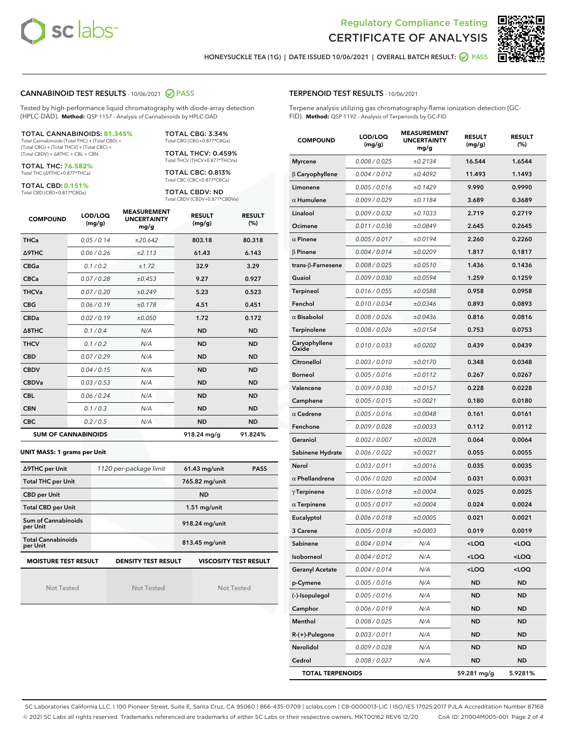



HONEYSUCKLE TEA (1G) | DATE ISSUED 10/06/2021 | OVERALL BATCH RESULT: **O PASS** 

#### CANNABINOID TEST RESULTS - 10/06/2021 2 PASS

Tested by high-performance liquid chromatography with diode-array detection (HPLC-DAD). **Method:** QSP 1157 - Analysis of Cannabinoids by HPLC-DAD

#### TOTAL CANNABINOIDS: **81.345%**

Total Cannabinoids (Total THC) + (Total CBD) + (Total CBG) + (Total THCV) + (Total CBC) + (Total CBDV) + ∆8THC + CBL + CBN

TOTAL THC: **76.582%** Total THC (∆9THC+0.877\*THCa)

TOTAL CBD: **0.151%**

Total CBD (CBD+0.877\*CBDa)

TOTAL CBG: 3.34% Total CBG (CBG+0.877\*CBGa)

TOTAL THCV: 0.459% Total THCV (THCV+0.877\*THCVa)

TOTAL CBC: 0.813% Total CBC (CBC+0.877\*CBCa)

TOTAL CBDV: ND Total CBDV (CBDV+0.877\*CBDVa)

| <b>COMPOUND</b>  | LOD/LOQ<br>(mg/g)          | <b>MEASUREMENT</b><br><b>UNCERTAINTY</b><br>mg/g | <b>RESULT</b><br>(mg/g) | <b>RESULT</b><br>(%) |
|------------------|----------------------------|--------------------------------------------------|-------------------------|----------------------|
| <b>THCa</b>      | 0.05/0.14                  | ±20.642                                          | 803.18                  | 80.318               |
| <b>A9THC</b>     | 0.06/0.26                  | ±2.113                                           | 61.43                   | 6.143                |
| <b>CBGa</b>      | 0.1/0.2                    | ±1.72                                            | 32.9                    | 3.29                 |
| <b>CBCa</b>      | 0.07 / 0.28                | ±0.453                                           | 9.27                    | 0.927                |
| <b>THCVa</b>     | 0.07/0.20                  | ±0.249                                           | 5.23                    | 0.523                |
| <b>CBG</b>       | 0.06/0.19                  | ±0.178                                           | 4.51                    | 0.451                |
| <b>CBDa</b>      | 0.02/0.19                  | ±0.050                                           | 1.72                    | 0.172                |
| $\triangle$ 8THC | 0.1/0.4                    | N/A                                              | <b>ND</b>               | <b>ND</b>            |
| <b>THCV</b>      | 0.1 / 0.2                  | N/A                                              | <b>ND</b>               | <b>ND</b>            |
| <b>CBD</b>       | 0.07/0.29                  | N/A                                              | <b>ND</b>               | <b>ND</b>            |
| <b>CBDV</b>      | 0.04 / 0.15                | N/A                                              | <b>ND</b>               | <b>ND</b>            |
| <b>CBDVa</b>     | 0.03/0.53                  | N/A                                              | <b>ND</b>               | <b>ND</b>            |
| <b>CBL</b>       | 0.06 / 0.24                | N/A                                              | <b>ND</b>               | <b>ND</b>            |
| <b>CBN</b>       | 0.1/0.3                    | N/A                                              | <b>ND</b>               | <b>ND</b>            |
| <b>CBC</b>       | 0.2 / 0.5                  | N/A                                              | <b>ND</b>               | <b>ND</b>            |
|                  | <b>SUM OF CANNABINOIDS</b> |                                                  | 918.24 mg/g             | 91.824%              |

#### **UNIT MASS: 1 grams per Unit**

| ∆9THC per Unit                        | 1120 per-package limit     | $61.43$ mg/unit<br><b>PASS</b> |
|---------------------------------------|----------------------------|--------------------------------|
| <b>Total THC per Unit</b>             |                            | 765.82 mg/unit                 |
| <b>CBD per Unit</b>                   |                            | <b>ND</b>                      |
| <b>Total CBD per Unit</b>             |                            | $1.51$ mg/unit                 |
| Sum of Cannabinoids<br>per Unit       |                            | 918.24 mg/unit                 |
| <b>Total Cannabinoids</b><br>per Unit |                            | 813.45 mg/unit                 |
| <b>MOISTURE TEST RESULT</b>           | <b>DENSITY TEST RESULT</b> | <b>VISCOSITY TEST RESULT</b>   |

Not Tested

Not Tested

Not Tested

#### TERPENOID TEST RESULTS - 10/06/2021

Terpene analysis utilizing gas chromatography-flame ionization detection (GC-FID). **Method:** QSP 1192 - Analysis of Terpenoids by GC-FID

| <b>COMPOUND</b>           | LOD/LOQ<br>(mg/g) | <b>MEASUREMENT</b><br><b>UNCERTAINTY</b><br>mg/g | <b>RESULT</b><br>(mg/g)                         | <b>RESULT</b><br>(%) |
|---------------------------|-------------------|--------------------------------------------------|-------------------------------------------------|----------------------|
| <b>Myrcene</b>            | 0.008 / 0.025     | ±0.2134                                          | 16.544                                          | 1.6544               |
| $\beta$ Caryophyllene     | 0.004 / 0.012     | ±0.4092                                          | 11.493                                          | 1.1493               |
| Limonene                  | 0.005 / 0.016     | ±0.1429                                          | 9.990                                           | 0.9990               |
| $\alpha$ Humulene         | 0.009 / 0.029     | ±0.1184                                          | 3.689                                           | 0.3689               |
| Linalool                  | 0.009 / 0.032     | ±0.1033                                          | 2.719                                           | 0.2719               |
| Ocimene                   | 0.011 / 0.038     | ±0.0849                                          | 2.645                                           | 0.2645               |
| $\alpha$ Pinene           | 0.005 / 0.017     | ±0.0194                                          | 2.260                                           | 0.2260               |
| $\beta$ Pinene            | 0.004 / 0.014     | ±0.0209                                          | 1.817                                           | 0.1817               |
| trans- $\beta$ -Farnesene | 0.008 / 0.025     | ±0.0510                                          | 1.436                                           | 0.1436               |
| Guaiol                    | 0.009 / 0.030     | ±0.0594                                          | 1.259                                           | 0.1259               |
| <b>Terpineol</b>          | 0.016 / 0.055     | ±0.0588                                          | 0.958                                           | 0.0958               |
| Fenchol                   | 0.010 / 0.034     | ±0.0346                                          | 0.893                                           | 0.0893               |
| $\alpha$ Bisabolol        | 0.008 / 0.026     | ±0.0436                                          | 0.816                                           | 0.0816               |
| Terpinolene               | 0.008 / 0.026     | ±0.0154                                          | 0.753                                           | 0.0753               |
| Caryophyllene<br>Oxide    | 0.010 / 0.033     | ±0.0202                                          | 0.439                                           | 0.0439               |
| Citronellol               | 0.003 / 0.010     | ±0.0170                                          | 0.348                                           | 0.0348               |
| <b>Borneol</b>            | 0.005 / 0.016     | ±0.0112                                          | 0.267                                           | 0.0267               |
| Valencene                 | 0.009 / 0.030     | ±0.0157                                          | 0.228                                           | 0.0228               |
| Camphene                  | 0.005 / 0.015     | ±0.0021                                          | 0.180                                           | 0.0180               |
| $\alpha$ Cedrene          | 0.005 / 0.016     | ±0.0048                                          | 0.161                                           | 0.0161               |
| Fenchone                  | 0.009 / 0.028     | ±0.0033                                          | 0.112                                           | 0.0112               |
| Geraniol                  | 0.002 / 0.007     | ±0.0028                                          | 0.064                                           | 0.0064               |
| Sabinene Hydrate          | 0.006 / 0.022     | ±0.0021                                          | 0.055                                           | 0.0055               |
| Nerol                     | 0.003 / 0.011     | ±0.0016                                          | 0.035                                           | 0.0035               |
| $\alpha$ Phellandrene     | 0.006 / 0.020     | ±0.0004                                          | 0.031                                           | 0.0031               |
| $\gamma$ Terpinene        | 0.006 / 0.018     | ±0.0004                                          | 0.025                                           | 0.0025               |
| $\alpha$ Terpinene        | 0.005 / 0.017     | ±0.0004                                          | 0.024                                           | 0.0024               |
| Eucalyptol                | 0.006 / 0.018     | ±0.0005                                          | 0.021                                           | 0.0021               |
| 3 Carene                  | 0.005 / 0.018     | ±0.0003                                          | 0.019                                           | 0.0019               |
| Sabinene                  | 0.004 / 0.014     | N/A                                              | $<$ LOQ                                         | $<$ LOQ              |
| Isoborneol                | 0.004 / 0.012     | N/A                                              | <loq< th=""><th><loq< th=""></loq<></th></loq<> | <loq< th=""></loq<>  |
| <b>Geranyl Acetate</b>    | 0.004 / 0.014     | N/A                                              | <loq< th=""><th><loq< th=""></loq<></th></loq<> | <loq< th=""></loq<>  |
| p-Cymene                  | 0.005 / 0.016     | N/A                                              | ND                                              | ND                   |
| (-)-Isopulegol            | 0.005 / 0.016     | N/A                                              | ND                                              | <b>ND</b>            |
| Camphor                   | 0.006 / 0.019     | N/A                                              | ND                                              | ND                   |
| Menthol                   | 0.008 / 0.025     | N/A                                              | ND                                              | ND                   |
| $R-(+)$ -Pulegone         | 0.003 / 0.011     | N/A                                              | ND                                              | <b>ND</b>            |
| Nerolidol                 | 0.009 / 0.028     | N/A                                              | ND                                              | ND                   |
| Cedrol                    | 0.008 / 0.027     | N/A                                              | ND                                              | <b>ND</b>            |
| <b>TOTAL TERPENOIDS</b>   |                   |                                                  | 59.281 mg/g                                     | 5.9281%              |

SC Laboratories California LLC. | 100 Pioneer Street, Suite E, Santa Cruz, CA 95060 | 866-435-0709 | sclabs.com | C8-0000013-LIC | ISO/IES 17025:2017 PJLA Accreditation Number 87168 © 2021 SC Labs all rights reserved. Trademarks referenced are trademarks of either SC Labs or their respective owners. MKT00162 REV6 12/20 CoA ID: 211004M005-001 Page 2 of 4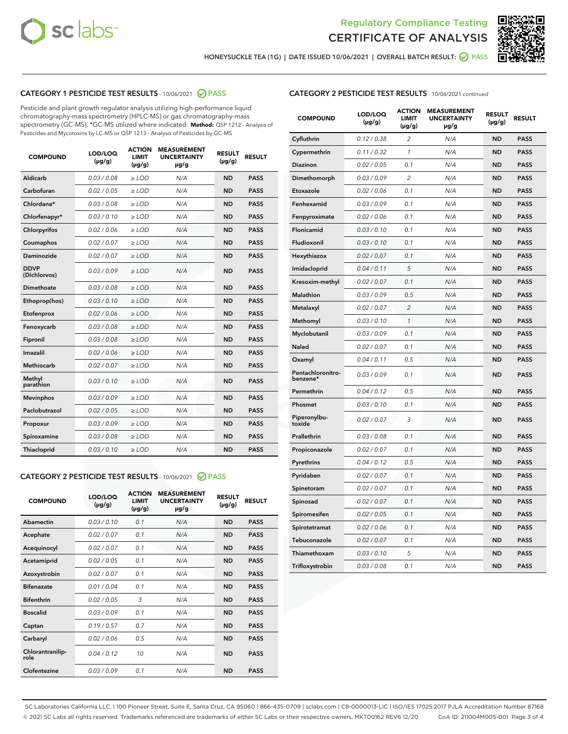



HONEYSUCKLE TEA (1G) | DATE ISSUED 10/06/2021 | OVERALL BATCH RESULT: @ PASS

#### CATEGORY 1 PESTICIDE TEST RESULTS - 10/06/2021 @ PASS

Pesticide and plant growth regulator analysis utilizing high-performance liquid chromatography-mass spectrometry (HPLC-MS) or gas chromatography-mass spectrometry (GC-MS). \*GC-MS utilized where indicated. **Method:** QSP 1212 - Analysis of Pesticides and Mycotoxins by LC-MS or QSP 1213 - Analysis of Pesticides by GC-MS

| Aldicarb<br>0.03 / 0.08<br><b>ND</b><br>$\ge$ LOD<br>N/A<br><b>PASS</b><br>Carbofuran<br>0.02/0.05<br>N/A<br><b>ND</b><br><b>PASS</b><br>$\ge$ LOD<br>Chlordane*<br>0.03 / 0.08<br><b>ND</b><br><b>PASS</b><br>$\ge$ LOD<br>N/A<br>0.03/0.10<br><b>ND</b><br><b>PASS</b><br>Chlorfenapyr*<br>$\ge$ LOD<br>N/A<br>0.02 / 0.06<br>N/A<br><b>ND</b><br><b>PASS</b><br>Chlorpyrifos<br>$\ge$ LOD<br>0.02 / 0.07<br>N/A<br><b>ND</b><br><b>PASS</b><br>Coumaphos<br>$>$ LOD<br><b>ND</b><br><b>PASS</b><br><b>Daminozide</b><br>0.02 / 0.07<br>$\ge$ LOD<br>N/A<br><b>DDVP</b><br>0.03/0.09<br>$\ge$ LOD<br>N/A<br><b>ND</b><br><b>PASS</b><br>(Dichlorvos)<br>Dimethoate<br><b>ND</b><br><b>PASS</b><br>0.03 / 0.08<br>$>$ LOD<br>N/A<br>Ethoprop(hos)<br>0.03/0.10<br>$\ge$ LOD<br>N/A<br><b>ND</b><br><b>PASS</b><br>0.02 / 0.06<br>$\ge$ LOD<br>N/A<br><b>ND</b><br><b>PASS</b><br>Etofenprox<br>Fenoxycarb<br>0.03 / 0.08<br>$>$ LOD<br>N/A<br><b>ND</b><br><b>PASS</b><br>0.03/0.08<br><b>ND</b><br><b>PASS</b><br>Fipronil<br>$\ge$ LOD<br>N/A<br>Imazalil<br>0.02 / 0.06<br>$>$ LOD<br>N/A<br><b>ND</b><br><b>PASS</b><br>Methiocarb<br>0.02 / 0.07<br>N/A<br><b>ND</b><br><b>PASS</b><br>$\ge$ LOD<br>Methyl<br>0.03/0.10<br>$\ge$ LOD<br>N/A<br><b>ND</b><br><b>PASS</b><br>parathion<br>0.03/0.09<br>$\ge$ LOD<br>N/A<br><b>ND</b><br><b>PASS</b><br><b>Mevinphos</b><br>Paclobutrazol<br>0.02 / 0.05<br>$\ge$ LOD<br>N/A<br><b>ND</b><br><b>PASS</b><br>0.03/0.09<br>N/A<br>$\ge$ LOD<br><b>ND</b><br><b>PASS</b><br>Propoxur<br>0.03 / 0.08<br><b>ND</b><br><b>PASS</b><br>Spiroxamine<br>$\ge$ LOD<br>N/A<br><b>PASS</b><br>Thiacloprid<br>0.03/0.10<br>$\ge$ LOD<br>N/A<br><b>ND</b> | <b>COMPOUND</b> | LOD/LOQ<br>$(\mu g/g)$ | <b>ACTION</b><br><b>LIMIT</b><br>$(\mu g/g)$ | <b>MEASUREMENT</b><br><b>UNCERTAINTY</b><br>$\mu$ g/g | <b>RESULT</b><br>$(\mu g/g)$ | <b>RESULT</b> |
|------------------------------------------------------------------------------------------------------------------------------------------------------------------------------------------------------------------------------------------------------------------------------------------------------------------------------------------------------------------------------------------------------------------------------------------------------------------------------------------------------------------------------------------------------------------------------------------------------------------------------------------------------------------------------------------------------------------------------------------------------------------------------------------------------------------------------------------------------------------------------------------------------------------------------------------------------------------------------------------------------------------------------------------------------------------------------------------------------------------------------------------------------------------------------------------------------------------------------------------------------------------------------------------------------------------------------------------------------------------------------------------------------------------------------------------------------------------------------------------------------------------------------------------------------------------------------------------------------------------------------------------------------------------------------------------------|-----------------|------------------------|----------------------------------------------|-------------------------------------------------------|------------------------------|---------------|
|                                                                                                                                                                                                                                                                                                                                                                                                                                                                                                                                                                                                                                                                                                                                                                                                                                                                                                                                                                                                                                                                                                                                                                                                                                                                                                                                                                                                                                                                                                                                                                                                                                                                                                |                 |                        |                                              |                                                       |                              |               |
|                                                                                                                                                                                                                                                                                                                                                                                                                                                                                                                                                                                                                                                                                                                                                                                                                                                                                                                                                                                                                                                                                                                                                                                                                                                                                                                                                                                                                                                                                                                                                                                                                                                                                                |                 |                        |                                              |                                                       |                              |               |
|                                                                                                                                                                                                                                                                                                                                                                                                                                                                                                                                                                                                                                                                                                                                                                                                                                                                                                                                                                                                                                                                                                                                                                                                                                                                                                                                                                                                                                                                                                                                                                                                                                                                                                |                 |                        |                                              |                                                       |                              |               |
|                                                                                                                                                                                                                                                                                                                                                                                                                                                                                                                                                                                                                                                                                                                                                                                                                                                                                                                                                                                                                                                                                                                                                                                                                                                                                                                                                                                                                                                                                                                                                                                                                                                                                                |                 |                        |                                              |                                                       |                              |               |
|                                                                                                                                                                                                                                                                                                                                                                                                                                                                                                                                                                                                                                                                                                                                                                                                                                                                                                                                                                                                                                                                                                                                                                                                                                                                                                                                                                                                                                                                                                                                                                                                                                                                                                |                 |                        |                                              |                                                       |                              |               |
|                                                                                                                                                                                                                                                                                                                                                                                                                                                                                                                                                                                                                                                                                                                                                                                                                                                                                                                                                                                                                                                                                                                                                                                                                                                                                                                                                                                                                                                                                                                                                                                                                                                                                                |                 |                        |                                              |                                                       |                              |               |
|                                                                                                                                                                                                                                                                                                                                                                                                                                                                                                                                                                                                                                                                                                                                                                                                                                                                                                                                                                                                                                                                                                                                                                                                                                                                                                                                                                                                                                                                                                                                                                                                                                                                                                |                 |                        |                                              |                                                       |                              |               |
|                                                                                                                                                                                                                                                                                                                                                                                                                                                                                                                                                                                                                                                                                                                                                                                                                                                                                                                                                                                                                                                                                                                                                                                                                                                                                                                                                                                                                                                                                                                                                                                                                                                                                                |                 |                        |                                              |                                                       |                              |               |
|                                                                                                                                                                                                                                                                                                                                                                                                                                                                                                                                                                                                                                                                                                                                                                                                                                                                                                                                                                                                                                                                                                                                                                                                                                                                                                                                                                                                                                                                                                                                                                                                                                                                                                |                 |                        |                                              |                                                       |                              |               |
|                                                                                                                                                                                                                                                                                                                                                                                                                                                                                                                                                                                                                                                                                                                                                                                                                                                                                                                                                                                                                                                                                                                                                                                                                                                                                                                                                                                                                                                                                                                                                                                                                                                                                                |                 |                        |                                              |                                                       |                              |               |
|                                                                                                                                                                                                                                                                                                                                                                                                                                                                                                                                                                                                                                                                                                                                                                                                                                                                                                                                                                                                                                                                                                                                                                                                                                                                                                                                                                                                                                                                                                                                                                                                                                                                                                |                 |                        |                                              |                                                       |                              |               |
|                                                                                                                                                                                                                                                                                                                                                                                                                                                                                                                                                                                                                                                                                                                                                                                                                                                                                                                                                                                                                                                                                                                                                                                                                                                                                                                                                                                                                                                                                                                                                                                                                                                                                                |                 |                        |                                              |                                                       |                              |               |
|                                                                                                                                                                                                                                                                                                                                                                                                                                                                                                                                                                                                                                                                                                                                                                                                                                                                                                                                                                                                                                                                                                                                                                                                                                                                                                                                                                                                                                                                                                                                                                                                                                                                                                |                 |                        |                                              |                                                       |                              |               |
|                                                                                                                                                                                                                                                                                                                                                                                                                                                                                                                                                                                                                                                                                                                                                                                                                                                                                                                                                                                                                                                                                                                                                                                                                                                                                                                                                                                                                                                                                                                                                                                                                                                                                                |                 |                        |                                              |                                                       |                              |               |
|                                                                                                                                                                                                                                                                                                                                                                                                                                                                                                                                                                                                                                                                                                                                                                                                                                                                                                                                                                                                                                                                                                                                                                                                                                                                                                                                                                                                                                                                                                                                                                                                                                                                                                |                 |                        |                                              |                                                       |                              |               |
|                                                                                                                                                                                                                                                                                                                                                                                                                                                                                                                                                                                                                                                                                                                                                                                                                                                                                                                                                                                                                                                                                                                                                                                                                                                                                                                                                                                                                                                                                                                                                                                                                                                                                                |                 |                        |                                              |                                                       |                              |               |
|                                                                                                                                                                                                                                                                                                                                                                                                                                                                                                                                                                                                                                                                                                                                                                                                                                                                                                                                                                                                                                                                                                                                                                                                                                                                                                                                                                                                                                                                                                                                                                                                                                                                                                |                 |                        |                                              |                                                       |                              |               |
|                                                                                                                                                                                                                                                                                                                                                                                                                                                                                                                                                                                                                                                                                                                                                                                                                                                                                                                                                                                                                                                                                                                                                                                                                                                                                                                                                                                                                                                                                                                                                                                                                                                                                                |                 |                        |                                              |                                                       |                              |               |
|                                                                                                                                                                                                                                                                                                                                                                                                                                                                                                                                                                                                                                                                                                                                                                                                                                                                                                                                                                                                                                                                                                                                                                                                                                                                                                                                                                                                                                                                                                                                                                                                                                                                                                |                 |                        |                                              |                                                       |                              |               |
|                                                                                                                                                                                                                                                                                                                                                                                                                                                                                                                                                                                                                                                                                                                                                                                                                                                                                                                                                                                                                                                                                                                                                                                                                                                                                                                                                                                                                                                                                                                                                                                                                                                                                                |                 |                        |                                              |                                                       |                              |               |
|                                                                                                                                                                                                                                                                                                                                                                                                                                                                                                                                                                                                                                                                                                                                                                                                                                                                                                                                                                                                                                                                                                                                                                                                                                                                                                                                                                                                                                                                                                                                                                                                                                                                                                |                 |                        |                                              |                                                       |                              |               |

#### CATEGORY 2 PESTICIDE TEST RESULTS - 10/06/2021 @ PASS

| <b>COMPOUND</b>          | LOD/LOQ<br>$(\mu g/g)$ | <b>ACTION</b><br><b>LIMIT</b><br>$(\mu g/g)$ | <b>MEASUREMENT</b><br><b>UNCERTAINTY</b><br>$\mu$ g/g | <b>RESULT</b><br>$(\mu g/g)$ | <b>RESULT</b> |
|--------------------------|------------------------|----------------------------------------------|-------------------------------------------------------|------------------------------|---------------|
| Abamectin                | 0.03/0.10              | 0.1                                          | N/A                                                   | <b>ND</b>                    | <b>PASS</b>   |
| Acephate                 | 0.02/0.07              | 0.1                                          | N/A                                                   | <b>ND</b>                    | <b>PASS</b>   |
| Acequinocyl              | 0.02/0.07              | 0.1                                          | N/A                                                   | <b>ND</b>                    | <b>PASS</b>   |
| Acetamiprid              | 0.02/0.05              | 0.1                                          | N/A                                                   | <b>ND</b>                    | <b>PASS</b>   |
| Azoxystrobin             | 0.02/0.07              | 0.1                                          | N/A                                                   | <b>ND</b>                    | <b>PASS</b>   |
| <b>Bifenazate</b>        | 0.01/0.04              | 0.1                                          | N/A                                                   | <b>ND</b>                    | <b>PASS</b>   |
| <b>Bifenthrin</b>        | 0.02 / 0.05            | 3                                            | N/A                                                   | <b>ND</b>                    | <b>PASS</b>   |
| <b>Boscalid</b>          | 0.03/0.09              | 0.1                                          | N/A                                                   | <b>ND</b>                    | <b>PASS</b>   |
| Captan                   | 0.19/0.57              | 0.7                                          | N/A                                                   | <b>ND</b>                    | <b>PASS</b>   |
| Carbaryl                 | 0.02/0.06              | 0.5                                          | N/A                                                   | <b>ND</b>                    | <b>PASS</b>   |
| Chlorantranilip-<br>role | 0.04/0.12              | 10                                           | N/A                                                   | <b>ND</b>                    | <b>PASS</b>   |
| Clofentezine             | 0.03/0.09              | 0.1                                          | N/A                                                   | <b>ND</b>                    | <b>PASS</b>   |

#### CATEGORY 2 PESTICIDE TEST RESULTS - 10/06/2021 continued

| <b>COMPOUND</b>               | LOD/LOQ<br>(µg/g) | <b>ACTION</b><br>LIMIT<br>$(\mu g/g)$ | <b>MEASUREMENT</b><br><b>UNCERTAINTY</b><br>µg/g | <b>RESULT</b><br>(µg/g) | <b>RESULT</b> |
|-------------------------------|-------------------|---------------------------------------|--------------------------------------------------|-------------------------|---------------|
| Cyfluthrin                    | 0.12 / 0.38       | $\overline{c}$                        | N/A                                              | ND                      | <b>PASS</b>   |
| Cypermethrin                  | 0.11 / 0.32       | $\mathcal{I}$                         | N/A                                              | ND                      | PASS          |
| <b>Diazinon</b>               | 0.02 / 0.05       | 0.1                                   | N/A                                              | <b>ND</b>               | <b>PASS</b>   |
| Dimethomorph                  | 0.03 / 0.09       | 2                                     | N/A                                              | ND                      | PASS          |
| Etoxazole                     | 0.02 / 0.06       | 0.1                                   | N/A                                              | ND                      | <b>PASS</b>   |
| Fenhexamid                    | 0.03 / 0.09       | 0.1                                   | N/A                                              | ND                      | <b>PASS</b>   |
| Fenpyroximate                 | 0.02 / 0.06       | 0.1                                   | N/A                                              | <b>ND</b>               | <b>PASS</b>   |
| Flonicamid                    | 0.03 / 0.10       | 0.1                                   | N/A                                              | ND                      | <b>PASS</b>   |
| Fludioxonil                   | 0.03 / 0.10       | 0.1                                   | N/A                                              | ND                      | <b>PASS</b>   |
| Hexythiazox                   | 0.02 / 0.07       | 0.1                                   | N/A                                              | ND                      | <b>PASS</b>   |
| Imidacloprid                  | 0.04 / 0.11       | 5                                     | N/A                                              | ND                      | <b>PASS</b>   |
| Kresoxim-methyl               | 0.02 / 0.07       | 0.1                                   | N/A                                              | ND                      | <b>PASS</b>   |
| Malathion                     | 0.03 / 0.09       | 0.5                                   | N/A                                              | ND                      | <b>PASS</b>   |
| Metalaxyl                     | 0.02 / 0.07       | $\overline{c}$                        | N/A                                              | ND                      | <b>PASS</b>   |
| Methomyl                      | 0.03 / 0.10       | $\mathbf{1}$                          | N/A                                              | ND                      | <b>PASS</b>   |
| Myclobutanil                  | 0.03 / 0.09       | 0.1                                   | N/A                                              | <b>ND</b>               | <b>PASS</b>   |
| Naled                         | 0.02 / 0.07       | 0.1                                   | N/A                                              | ND                      | <b>PASS</b>   |
| Oxamyl                        | 0.04 / 0.11       | 0.5                                   | N/A                                              | ND                      | PASS          |
| Pentachloronitro-<br>benzene* | 0.03 / 0.09       | 0.1                                   | N/A                                              | ND                      | <b>PASS</b>   |
| Permethrin                    | 0.04 / 0.12       | 0.5                                   | N/A                                              | ND                      | <b>PASS</b>   |
| Phosmet                       | 0.03 / 0.10       | 0.1                                   | N/A                                              | ND                      | <b>PASS</b>   |
| Piperonylbu-<br>toxide        | 0.02 / 0.07       | 3                                     | N/A                                              | <b>ND</b>               | <b>PASS</b>   |
| Prallethrin                   | 0.03 / 0.08       | 0.1                                   | N/A                                              | ND                      | <b>PASS</b>   |
| Propiconazole                 | 0.02 / 0.07       | 0.1                                   | N/A                                              | <b>ND</b>               | <b>PASS</b>   |
| Pyrethrins                    | 0.04 / 0.12       | 0.5                                   | N/A                                              | ND                      | PASS          |
| Pyridaben                     | 0.02 / 0.07       | 0.1                                   | N/A                                              | <b>ND</b>               | <b>PASS</b>   |
| Spinetoram                    | 0.02 / 0.07       | 0.1                                   | N/A                                              | ND                      | <b>PASS</b>   |
| Spinosad                      | 0.02 / 0.07       | 0.1                                   | N/A                                              | ND                      | PASS          |
| Spiromesifen                  | 0.02 / 0.05       | 0.1                                   | N/A                                              | <b>ND</b>               | <b>PASS</b>   |
| Spirotetramat                 | 0.02 / 0.06       | 0.1                                   | N/A                                              | ND                      | <b>PASS</b>   |
| Tebuconazole                  | 0.02 / 0.07       | 0.1                                   | N/A                                              | ND                      | <b>PASS</b>   |
| Thiamethoxam                  | 0.03 / 0.10       | 5                                     | N/A                                              | <b>ND</b>               | <b>PASS</b>   |
| Trifloxystrobin               | 0.03 / 0.08       | 0.1                                   | N/A                                              | <b>ND</b>               | <b>PASS</b>   |

SC Laboratories California LLC. | 100 Pioneer Street, Suite E, Santa Cruz, CA 95060 | 866-435-0709 | sclabs.com | C8-0000013-LIC | ISO/IES 17025:2017 PJLA Accreditation Number 87168 © 2021 SC Labs all rights reserved. Trademarks referenced are trademarks of either SC Labs or their respective owners. MKT00162 REV6 12/20 CoA ID: 211004M005-001 Page 3 of 4